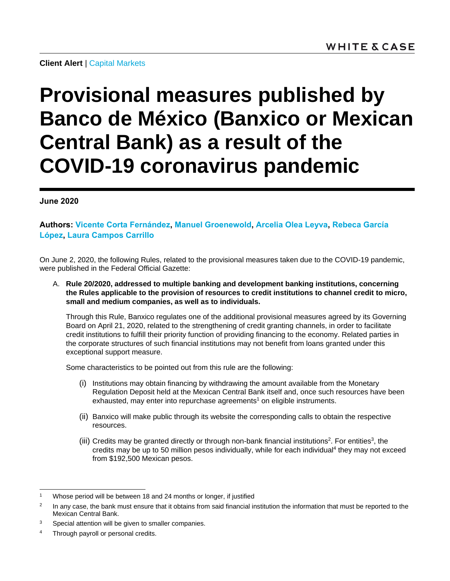**Client Alert** | [Capital Markets](https://www.whitecase.com/law/practices/capital-markets)

## **Provisional measures published by Banco de México (Banxico or Mexican Central Bank) as a result of the COVID-19 coronavirus pandemic**

## **June 2020**

**Authors: [Vicente Corta Fernández,](https://www.whitecase.com/people/vicente-corta-fernandez) [Manuel Groenewold,](https://www.whitecase.com/people/manuel-groenewold) [Arcelia Olea Leyva,](https://www.whitecase.com/people/arcelia-olea-leyva) [Rebeca García](https://www.whitecase.com/people/rebeca-garcia-lopez)  [López,](https://www.whitecase.com/people/rebeca-garcia-lopez) [Laura Campos Carrillo](https://www.whitecase.com/people/laura-campos-carrillo)**

On June 2, 2020, the following Rules, related to the provisional measures taken due to the COVID-19 pandemic, were published in the Federal Official Gazette:

A. **Rule 20/2020, addressed to multiple banking and development banking institutions, concerning the Rules applicable to the provision of resources to credit institutions to channel credit to micro, small and medium companies, as well as to individuals.**

Through this Rule, Banxico regulates one of the additional provisional measures agreed by its Governing Board on April 21, 2020, related to the strengthening of credit granting channels, in order to facilitate credit institutions to fulfill their priority function of providing financing to the economy. Related parties in the corporate structures of such financial institutions may not benefit from loans granted under this exceptional support measure.

Some characteristics to be pointed out from this rule are the following:

- (i) Institutions may obtain financing by withdrawing the amount available from the Monetary Regulation Deposit held at the Mexican Central Bank itself and, once such resources have been exhausted, may enter into repurchase agreements<sup>1</sup> on eligible instruments.
- (ii) Banxico will make public through its website the corresponding calls to obtain the respective resources.
- (iii) Credits may be granted directly or through non-bank financial institutions<sup>2</sup>. For entities<sup>3</sup>, the credits may be up to 50 million pesos individually, while for each individual<sup>4</sup> they may not exceed from \$192,500 Mexican pesos.

l

<sup>&</sup>lt;sup>1</sup> Whose period will be between 18 and 24 months or longer, if justified

<sup>2</sup> In any case, the bank must ensure that it obtains from said financial institution the information that must be reported to the Mexican Central Bank.

<sup>&</sup>lt;sup>3</sup> Special attention will be given to smaller companies.

<sup>4</sup> Through payroll or personal credits.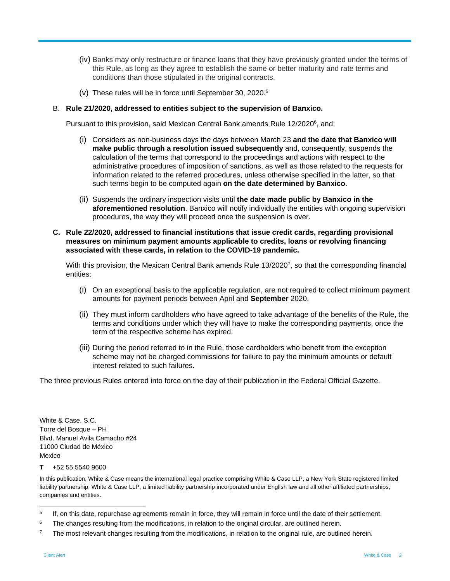- (iv) Banks may only restructure or finance loans that they have previously granted under the terms of this Rule, as long as they agree to establish the same or better maturity and rate terms and conditions than those stipulated in the original contracts.
- (v) These rules will be in force until September 30, 2020.<sup>5</sup>

## B. **Rule 21/2020, addressed to entities subject to the supervision of Banxico.**

Pursuant to this provision, said Mexican Central Bank amends Rule 12/2020<sup>6</sup>, and:

- (i) Considers as non-business days the days between March 23 **and the date that Banxico will make public through a resolution issued subsequently** and, consequently, suspends the calculation of the terms that correspond to the proceedings and actions with respect to the administrative procedures of imposition of sanctions, as well as those related to the requests for information related to the referred procedures, unless otherwise specified in the latter, so that such terms begin to be computed again **on the date determined by Banxico**.
- (ii) Suspends the ordinary inspection visits until **the date made public by Banxico in the aforementioned resolution**. Banxico will notify individually the entities with ongoing supervision procedures, the way they will proceed once the suspension is over.
- **C. Rule 22/2020, addressed to financial institutions that issue credit cards, regarding provisional measures on minimum payment amounts applicable to credits, loans or revolving financing associated with these cards, in relation to the COVID-19 pandemic.**

With this provision, the Mexican Central Bank amends Rule 13/2020<sup>7</sup>, so that the corresponding financial entities:

- (i) On an exceptional basis to the applicable regulation, are not required to collect minimum payment amounts for payment periods between April and **September** 2020.
- (ii) They must inform cardholders who have agreed to take advantage of the benefits of the Rule, the terms and conditions under which they will have to make the corresponding payments, once the term of the respective scheme has expired.
- (iii) During the period referred to in the Rule, those cardholders who benefit from the exception scheme may not be charged commissions for failure to pay the minimum amounts or default interest related to such failures.

The three previous Rules entered into force on the day of their publication in the Federal Official Gazette.

White & Case, S.C. Torre del Bosque – PH Blvd. Manuel Avila Camacho #24 11000 Ciudad de México Mexico

## **T** +52 55 5540 9600

In this publication, White & Case means the international legal practice comprising White & Case LLP, a New York State registered limited liability partnership, White & Case LLP, a limited liability partnership incorporated under English law and all other affiliated partnerships, companies and entities.

<sup>|&</sup>lt;br>5 If, on this date, repurchase agreements remain in force, they will remain in force until the date of their settlement.

<sup>&</sup>lt;sup>6</sup> The changes resulting from the modifications, in relation to the original circular, are outlined herein.

 $7$  The most relevant changes resulting from the modifications, in relation to the original rule, are outlined herein.